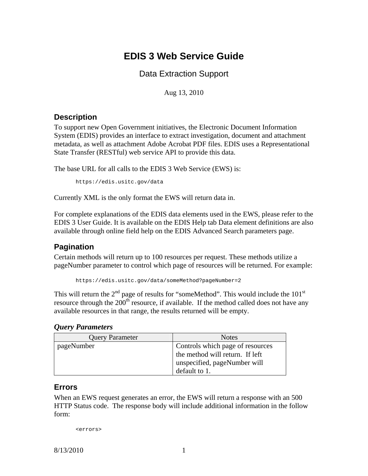# **EDIS 3 Web Service Guide**

Data Extraction Support

Aug 13, 2010

## **Description**

To support new Open Government initiatives, the Electronic Document Information System (EDIS) provides an interface to extract investigation, document and attachment metadata, as well as attachment Adobe Acrobat PDF files. EDIS uses a Representational State Transfer (RESTful) web service API to provide this data.

The base URL for all calls to the EDIS 3 Web Service (EWS) is:

```
https://edis.usitc.gov/data
```
Currently XML is the only format the EWS will return data in.

For complete explanations of the EDIS data elements used in the EWS, please refer to the EDIS 3 User Guide. It is available on the EDIS Help tab Data element definitions are also available through online field help on the EDIS Advanced Search parameters page.

## **Pagination**

Certain methods will return up to 100 resources per request. These methods utilize a pageNumber parameter to control which page of resources will be returned. For example:

<https://edis.usitc.gov/data/someMethod?pageNumber=2>

This will return the  $2<sup>nd</sup>$  page of results for "someMethod". This would include the 101<sup>st</sup> resource through the  $200<sup>th</sup>$  resource, if available. If the method called does not have any available resources in that range, the results returned will be empty.

### *Query Parameters*

| <b>Query Parameter</b> | <b>Notes</b>                     |
|------------------------|----------------------------------|
| pageNumber             | Controls which page of resources |
|                        | the method will return. If left  |
|                        | unspecified, pageNumber will     |
|                        | default to 1.                    |

### **Errors**

When an EWS request generates an error, the EWS will return a response with an 500 HTTP Status code. The response body will include additional information in the follow form:

<errors>

8/13/2010 1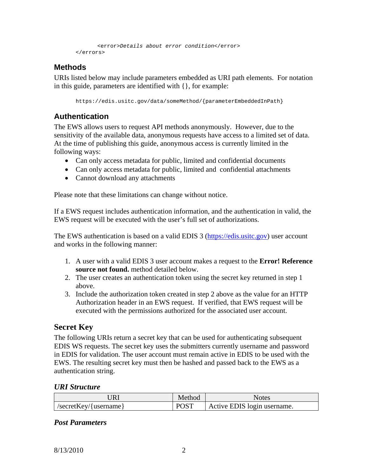```
 <error>Details about error condition</error> 
</errors>
```
## **Methods**

URIs listed below may include parameters embedded as URI path elements. For notation in this guide, parameters are identified with {}, for example:

https://edis.usitc.gov/data/someMethod/{parameterEmbeddedInPath}

## **Authentication**

The EWS allows users to request API methods anonymously. However, due to the sensitivity of the available data, anonymous requests have access to a limited set of data. At the time of publishing this guide, anonymous access is currently limited in the following ways:

- Can only access metadata for public, limited and confidential documents
- Can only access metadata for public, limited and confidential attachments
- Cannot download any attachments

Please note that these limitations can change without notice.

If a EWS request includes authentication information, and the authentication in valid, the EWS request will be executed with the user's full set of authorizations.

The EWS authentication is based on a valid EDIS 3 [\(https://edis.usitc.gov\)](https://edis.usitc.gov/) user account and works in the following manner:

- 1. A user with a valid EDIS 3 user account makes a request to the **Error! Reference source not found.** method detailed below.
- 2. The user creates an authentication token using the secret key returned in step 1 above.
- 3. Include the authorization token created in step 2 above as the value for an HTTP Authorization header in an EWS request. If verified, that EWS request will be executed with the permissions authorized for the associated user account.

## **Secret Key**

The following URIs return a secret key that can be used for authenticating subsequent EDIS WS requests. The secret key uses the submitters currently username and password in EDIS for validation. The user account must remain active in EDIS to be used with the EWS. The resulting secret key must then be hashed and passed back to the EWS as a authentication string.

#### *URI Structure*

| URL                     | Method      | Notes                       |
|-------------------------|-------------|-----------------------------|
| $/secretKey/{username}$ | <b>POST</b> | Active EDIS login username. |

### *Post Parameters*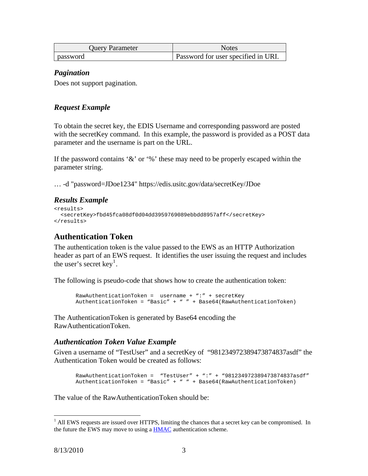| <b>Query Parameter</b> | <b>Notes</b>                        |
|------------------------|-------------------------------------|
| password               | Password for user specified in URI. |

#### *Pagination*

Does not support pagination.

### *Request Example*

To obtain the secret key, the EDIS Username and corresponding password are posted with the secretKey command. In this example, the password is provided as a POST data parameter and the username is part on the URL.

If the password contains '&' or '%' these may need to be properly escaped within the parameter string.

… -d "password=JDoe1234" https://edis.usitc.gov/data/secretKey/JDoe

### *Results Example*

```
<results> 
   <secretKey>fbd45fca08df0d04dd3959769089ebbdd8957aff</secretKey> 
</results>
```
## **Authentication Token**

The authentication token is the value passed to the EWS as an HTTP Authorization header as part of an EWS request. It identifies the user issuing the request and includes the user's secret key<sup>[1](#page-2-0)</sup>.

The following is pseudo-code that shows how to create the authentication token:

```
RawAuthenticationToken = username + ":" + secretKey 
AuthenticationToken = "Basic" + " " + Base64(RawAuthenticationToken)
```
The AuthenticationToken is generated by Base64 encoding the RawAuthenticationToken.

#### <span id="page-2-1"></span>*Authentication Token Value Example*

Given a username of "TestUser" and a secretKey of "981234972389473874837asdf" the Authentication Token would be created as follows:

```
RawAuthenticationToken = "TestUser" + ":" + "981234972389473874837asdf" 
AuthenticationToken = "Basic" + " " + Base64(RawAuthenticationToken)
```
The value of the RawAuthenticationToken should be:

 $\overline{a}$ 

<span id="page-2-0"></span><sup>&</sup>lt;sup>1</sup> All EWS requests are issued over HTTPS, limiting the chances that a secret key can be compromised. In the future the EWS may move to using a **HMAC** authentication scheme.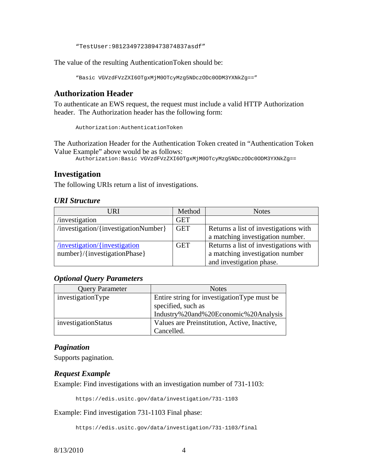"TestUser:981234972389473874837asdf"

The value of the resulting AuthenticationToken should be:

```
"Basic VGVzdFVzZXI6OTgxMjM0OTcyMzg5NDczODc0ODM3YXNkZg=="
```
## **Authorization Header**

To authenticate an EWS request, the request must include a valid HTTP Authorization header. The Authorization header has the following form:

Authorization:AuthenticationToken

The Authorization Header for the Authentication Token created in "[Authentication Token](#page-2-1)  [Value Example](#page-2-1)" above would be as follows:

Authorization:Basic VGVzdFVzZXI6OTgxMjM0OTcyMzg5NDczODc0ODM3YXNkZg==

### **Investigation**

The following URIs return a list of investigations.

#### *URI Structure*

| URI                                  | Method     | <b>Notes</b>                          |
|--------------------------------------|------------|---------------------------------------|
| investigation                        | <b>GET</b> |                                       |
| /investigation/{investigationNumber} | <b>GET</b> | Returns a list of investigations with |
|                                      |            | a matching investigation number.      |
| /investigation/{investigation        | <b>GET</b> | Returns a list of investigations with |
| number }/{investigationPhase}        |            | a matching investigation number       |
|                                      |            | and investigation phase.              |

#### *Optional Query Parameters*

| <b>Query Parameter</b> | <b>Notes</b>                                                       |
|------------------------|--------------------------------------------------------------------|
| investigationType      | Entire string for investigation Type must be<br>specified, such as |
|                        | Industry%20and%20Economic%20Analysis                               |
| investigationStatus    | Values are Preinstitution, Active, Inactive,                       |
|                        | Cancelled.                                                         |

#### *Pagination*

Supports pagination.

#### *Request Example*

Example: Find investigations with an investigation number of 731-1103:

<https://edis.usitc.gov/data/investigation/731-1103>

Example: Find investigation 731-1103 Final phase:

<https://edis.usitc.gov/data/investigation/731-1103/final>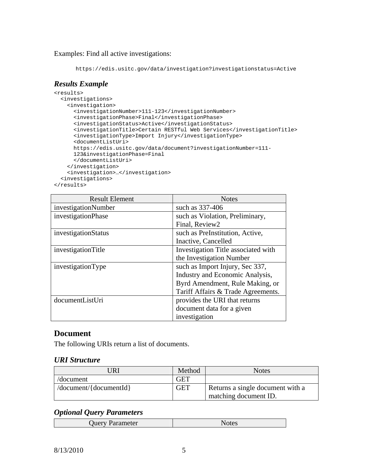Examples: Find all active investigations:

```
https://edis.usitc.gov/data/investigation?investigationstatus=Active
```
## *Results Example*

```
<results> 
  <investigations> 
     <investigation> 
       <investigationNumber>111-123</investigationNumber> 
      <investigationPhase>Final</investigationPhase> 
      <investigationStatus>Active</investigationStatus> 
      <investigationTitle>Certain RESTful Web Services</investigationTitle> 
      <investigationType>Import Injury</investigationType> 
      <documentListUri> 
     https://edis.usitc.gov/data/document?investigationNumber=111-
     123&investigationPhase=Final 
      </documentListUri> 
     </investigation> 
     <investigation>…</investigation> 
  <investigations> 
</results>
```

| <b>Result Element</b> | <b>Notes</b>                        |
|-----------------------|-------------------------------------|
| investigationNumber   | such as 337-406                     |
| investigationPhase    | such as Violation, Preliminary,     |
|                       | Final, Review2                      |
| investigationStatus   | such as PreInstitution, Active,     |
|                       | Inactive, Cancelled                 |
| investigationTitle    | Investigation Title associated with |
|                       | the Investigation Number            |
| investigationType     | such as Import Injury, Sec 337,     |
|                       | Industry and Economic Analysis,     |
|                       | Byrd Amendment, Rule Making, or     |
|                       | Tariff Affairs & Trade Agreements.  |
| documentListUri       | provides the URI that returns       |
|                       | document data for a given           |
|                       | investigation                       |

## **Document**

The following URIs return a list of documents.

#### *URI Structure*

| JRI                          | Method     | <b>Notes</b>                     |
|------------------------------|------------|----------------------------------|
| /document                    | <b>GET</b> |                                  |
| $\sqrt{document}/[document]$ | <b>GET</b> | Returns a single document with a |
|                              |            | matching document ID.            |

## *Optional Query Parameters*

| <b>L</b><br>ameter<br>ΉГ<br>$\cdots$ |
|--------------------------------------|
|--------------------------------------|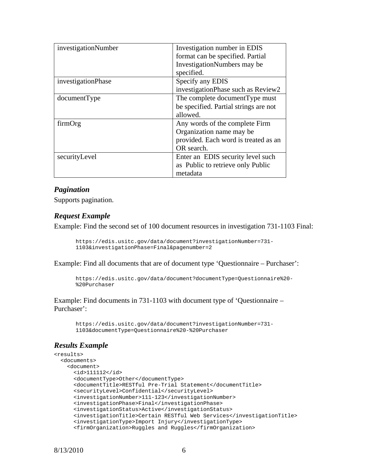| investigationNumber | Investigation number in EDIS          |
|---------------------|---------------------------------------|
|                     | format can be specified. Partial      |
|                     | InvestigationNumbers may be           |
|                     | specified.                            |
| investigationPhase  | Specify any EDIS                      |
|                     | investigationPhase such as Review2    |
| documentType        | The complete document Type must       |
|                     | be specified. Partial strings are not |
|                     | allowed.                              |
| firmOrg             | Any words of the complete Firm        |
|                     | Organization name may be              |
|                     | provided. Each word is treated as an  |
|                     | OR search.                            |
| securityLevel       | Enter an EDIS security level such     |
|                     | as Public to retrieve only Public     |
|                     | metadata                              |

#### *Pagination*

Supports pagination.

#### *Request Example*

Example: Find the second set of 100 document resources in investigation 731-1103 Final:

```
https://edis.usitc.gov/data/document?investigationNumber=731-
1103&investigationPhase=Final&pagenumber=2
```
Example: Find all documents that are of document type 'Questionnaire – Purchaser':

```
https://edis.usitc.gov/data/document?documentType=Questionnaire%20-
%20Purchaser
```
Example: Find documents in 731-1103 with document type of 'Questionnaire – Purchaser':

```
https://edis.usitc.gov/data/document?investigationNumber=731-
1103&documentType=Questionnaire%20-%20Purchaser
```
### *Results Example*

```
<results> 
  <documents> 
    <document> 
      <id>111112</id> 
      <documentType>Other</documentType> 
      <documentTitle>RESTful Pre-Trial Statement</documentTitle> 
      <securityLevel>Confidential</securityLevel> 
      <investigationNumber>111-123</investigationNumber> 
      <investigationPhase>Final</investigationPhase> 
      <investigationStatus>Active</investigationStatus> 
      <investigationTitle>Certain RESTful Web Services</investigationTitle> 
      <investigationType>Import Injury</investigationType> 
      <firmOrganization>Ruggles and Ruggles</firmOrganization>
```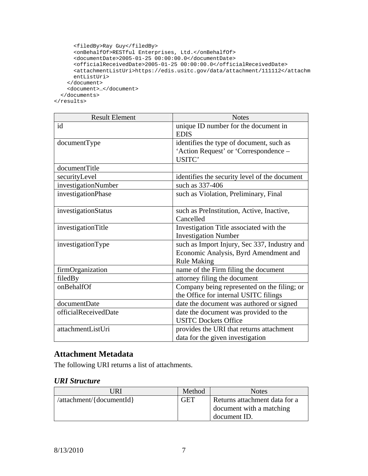```
<filedBy>Ray Guy</filedBy> 
    <onBehalfOf>RESTful Enterprises, Ltd.</onBehalfOf> 
    <documentDate>2005-01-25 00:00:00.0</documentDate> 
    <officialReceivedDate>2005-01-25 00:00:00.0</officialReceivedDate> 
    <attachmentListUri>https://edis.usitc.gov/data/attachment/111112</attachm
   entListUri> 
  </document> 
  <document>…</document> 
</documents>
```
</results>

| <b>Result Element</b> | <b>Notes</b>                                  |
|-----------------------|-----------------------------------------------|
| id                    | unique ID number for the document in          |
|                       | <b>EDIS</b>                                   |
| documentType          | identifies the type of document, such as      |
|                       | 'Action Request' or 'Correspondence -         |
|                       | USITC'                                        |
| documentTitle         |                                               |
| securityLevel         | identifies the security level of the document |
| investigationNumber   | such as 337-406                               |
| investigationPhase    | such as Violation, Preliminary, Final         |
|                       |                                               |
| investigationStatus   | such as PreInstitution, Active, Inactive,     |
|                       | Cancelled                                     |
| investigationTitle    | Investigation Title associated with the       |
|                       | <b>Investigation Number</b>                   |
| investigationType     | such as Import Injury, Sec 337, Industry and  |
|                       | Economic Analysis, Byrd Amendment and         |
|                       | <b>Rule Making</b>                            |
| firmOrganization      | name of the Firm filing the document          |
| filedBy               | attorney filing the document                  |
| onBehalfOf            | Company being represented on the filing; or   |
|                       | the Office for internal USITC filings         |
| documentDate          | date the document was authored or signed      |
| officialReceivedDate  | date the document was provided to the         |
|                       | <b>USITC Dockets Office</b>                   |
| attachmentListUri     | provides the URI that returns attachment      |
|                       | data for the given investigation              |

## **Attachment Metadata**

The following URI returns a list of attachments.

#### *URI Structure*

| JRI                      | Method | <b>Notes</b>                  |
|--------------------------|--------|-------------------------------|
| /attachment/{documentId} | GET    | Returns attachment data for a |
|                          |        | document with a matching      |
|                          |        | document ID.                  |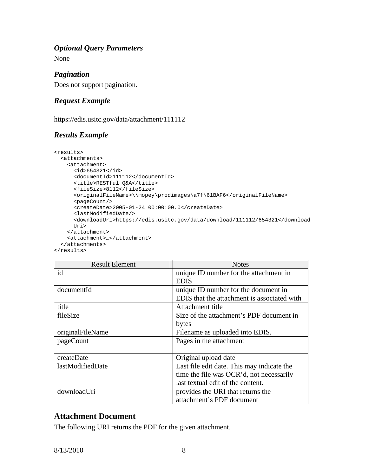### *Optional Query Parameters*

None

## *Pagination*

Does not support pagination.

## *Request Example*

https://edis.usitc.gov/data/attachment/111112

## *Results Example*

```
<results> 
  <attachments> 
    <attachment> 
     <id>654321</id> 
      <documentId>111112</documentId> 
     <title>RESTful Q&A</title> 
     <fileSize>8112</fileSize> 
     <originalFileName>\\mopey\prodimages\a7f\61BAF6</originalFileName> 
     <pageCount/> 
      <createDate>2005-01-24 00:00:00.0</createDate> 
     <lastModifiedDate/> 
     <downloadUri>https://edis.usitc.gov/data/download/111112/654321</download
     Uri> 
    </attachment> 
    <attachment>…</attachment> 
  </attachments> 
</results>
```

| <b>Result Element</b> | <b>Notes</b>                                |
|-----------------------|---------------------------------------------|
| id                    | unique ID number for the attachment in      |
|                       | <b>EDIS</b>                                 |
| documentId            | unique ID number for the document in        |
|                       | EDIS that the attachment is associated with |
| title                 | Attachment title                            |
| fileSize              | Size of the attachment's PDF document in    |
|                       | bytes                                       |
| originalFileName      | Filename as uploaded into EDIS.             |
| pageCount             | Pages in the attachment                     |
|                       |                                             |
| createDate            | Original upload date                        |
| lastModifiedDate      | Last file edit date. This may indicate the  |
|                       | time the file was OCR'd, not necessarily    |
|                       | last textual edit of the content.           |
| downloadUri           | provides the URI that returns the           |
|                       | attachment's PDF document                   |

## **Attachment Document**

The following URI returns the PDF for the given attachment.